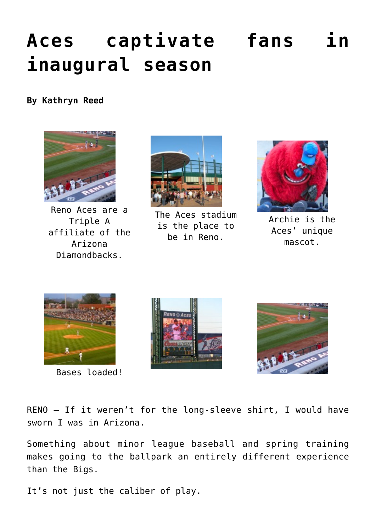## **[Aces captivate fans in](https://www.laketahoenews.net/2009/09/aces-captivate-fans-in-inaugural-season/) [inaugural season](https://www.laketahoenews.net/2009/09/aces-captivate-fans-in-inaugural-season/)**

## **By Kathryn Reed**



Reno Aces are a Triple A affiliate of the Arizona Diamondbacks.



The Aces stadium is the place to be in Reno.



Archie is the Aces' unique mascot.



Bases loaded!





RENO — If it weren't for the long-sleeve shirt, I would have sworn I was in Arizona.

Something about minor league baseball and spring training makes going to the ballpark an entirely different experience than the Bigs.

It's not just the caliber of play.